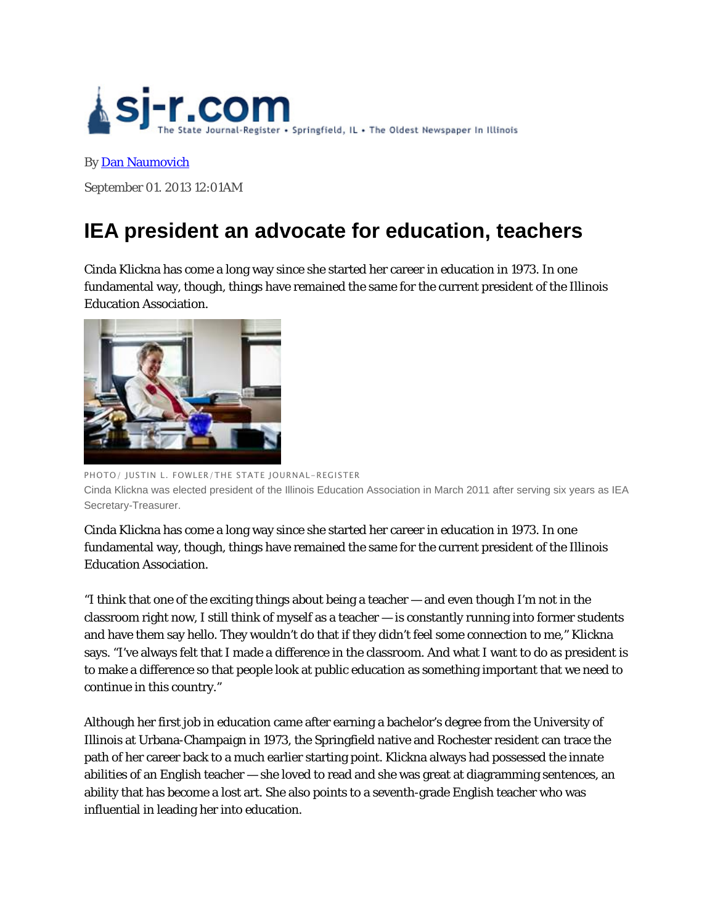

## By Dan Naumovich

September 01. 2013 12:01AM

# **IEA president an advocate for education, teachers**

Cinda Klickna has come a long way since she started her career in education in 1973. In one fundamental way, though, things have remained the same for the current president of the Illinois Education Association.



PHOTO/ JUSTIN L. FOWLER/THE STATE JOURNAL-REGISTER Cinda Klickna was elected president of the Illinois Education Association in March 2011 after serving six years as IEA Secretary-Treasurer.

Cinda Klickna has come a long way since she started her career in education in 1973. In one fundamental way, though, things have remained the same for the current president of the Illinois Education Association.

"I think that one of the exciting things about being a teacher — and even though I'm not in the classroom right now, I still think of myself as a teacher — is constantly running into former students and have them say hello. They wouldn't do that if they didn't feel some connection to me," Klickna says. "I've always felt that I made a difference in the classroom. And what I want to do as president is to make a difference so that people look at public education as something important that we need to continue in this country."

Although her first job in education came after earning a bachelor's degree from the University of Illinois at Urbana-Champaign in 1973, the Springfield native and Rochester resident can trace the path of her career back to a much earlier starting point. Klickna always had possessed the innate abilities of an English teacher — she loved to read and she was great at diagramming sentences, an ability that has become a lost art. She also points to a seventh-grade English teacher who was influential in leading her into education.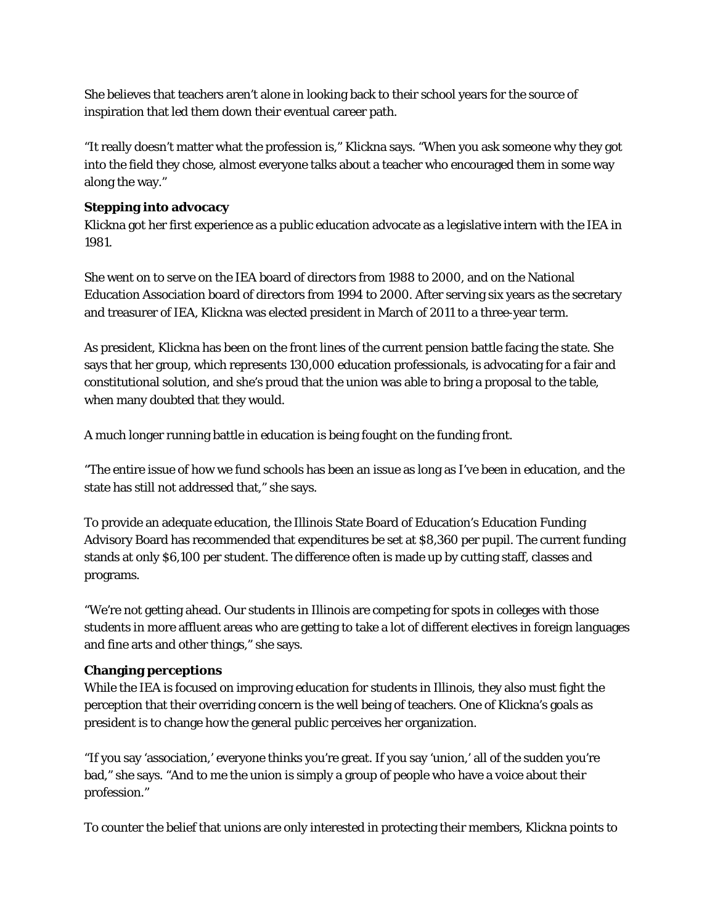She believes that teachers aren't alone in looking back to their school years for the source of inspiration that led them down their eventual career path.

"It really doesn't matter what the profession is," Klickna says. "When you ask someone why they got into the field they chose, almost everyone talks about a teacher who encouraged them in some way along the way."

### **Stepping into advocacy**

Klickna got her first experience as a public education advocate as a legislative intern with the IEA in 1981.

She went on to serve on the IEA board of directors from 1988 to 2000, and on the National Education Association board of directors from 1994 to 2000. After serving six years as the secretary and treasurer of IEA, Klickna was elected president in March of 2011 to a three-year term.

As president, Klickna has been on the front lines of the current pension battle facing the state. She says that her group, which represents 130,000 education professionals, is advocating for a fair and constitutional solution, and she's proud that the union was able to bring a proposal to the table, when many doubted that they would.

A much longer running battle in education is being fought on the funding front.

"The entire issue of how we fund schools has been an issue as long as I've been in education, and the state has still not addressed that," she says.

To provide an adequate education, the Illinois State Board of Education's Education Funding Advisory Board has recommended that expenditures be set at \$8,360 per pupil. The current funding stands at only \$6,100 per student. The difference often is made up by cutting staff, classes and programs.

"We're not getting ahead. Our students in Illinois are competing for spots in colleges with those students in more affluent areas who are getting to take a lot of different electives in foreign languages and fine arts and other things," she says.

#### **Changing perceptions**

While the IEA is focused on improving education for students in Illinois, they also must fight the perception that their overriding concern is the well being of teachers. One of Klickna's goals as president is to change how the general public perceives her organization.

"If you say 'association,' everyone thinks you're great. If you say 'union,' all of the sudden you're bad," she says. "And to me the union is simply a group of people who have a voice about their profession."

To counter the belief that unions are only interested in protecting their members, Klickna points to